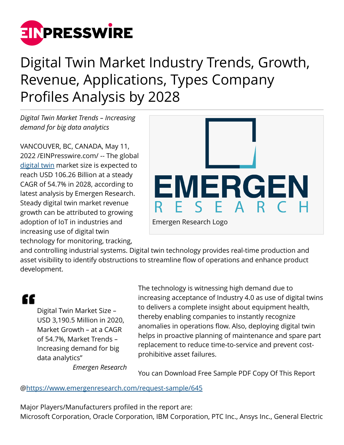

## Digital Twin Market Industry Trends, Growth, Revenue, Applications, Types Company Profiles Analysis by 2028

*Digital Twin Market Trends – Increasing demand for big data analytics*

VANCOUVER, BC, CANADA, May 11, 2022 /[EINPresswire.com](http://www.einpresswire.com)/ -- The global [digital twin](https://www.emergenresearch.com/industry-report/digital-twin-market) market size is expected to reach USD 106.26 Billion at a steady CAGR of 54.7% in 2028, according to latest analysis by Emergen Research. Steady digital twin market revenue growth can be attributed to growing adoption of IoT in industries and increasing use of digital twin technology for monitoring, tracking,



and controlling industrial systems. Digital twin technology provides real-time production and asset visibility to identify obstructions to streamline flow of operations and enhance product development.

"

Digital Twin Market Size – USD 3,190.5 Million in 2020, Market Growth – at a CAGR of 54.7%, Market Trends – Increasing demand for big data analytics"

The technology is witnessing high demand due to increasing acceptance of Industry 4.0 as use of digital twins to delivers a complete insight about equipment health, thereby enabling companies to instantly recognize anomalies in operations flow. Also, deploying digital twin helps in proactive planning of maintenance and spare part replacement to reduce time-to-service and prevent costprohibitive asset failures.

*Emergen Research*

You can Download Free Sample PDF Copy Of This Report

@<https://www.emergenresearch.com/request-sample/645>

Major Players/Manufacturers profiled in the report are: Microsoft Corporation, Oracle Corporation, IBM Corporation, PTC Inc., Ansys Inc., General Electric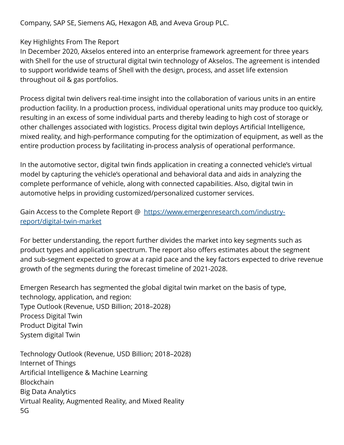Company, SAP SE, Siemens AG, Hexagon AB, and Aveva Group PLC.

## Key Highlights From The Report

In December 2020, Akselos entered into an enterprise framework agreement for three years with Shell for the use of structural digital twin technology of Akselos. The agreement is intended to support worldwide teams of Shell with the design, process, and asset life extension throughout oil & gas portfolios.

Process digital twin delivers real-time insight into the collaboration of various units in an entire production facility. In a production process, individual operational units may produce too quickly, resulting in an excess of some individual parts and thereby leading to high cost of storage or other challenges associated with logistics. Process digital twin deploys Artificial Intelligence, mixed reality, and high-performance computing for the optimization of equipment, as well as the entire production process by facilitating in-process analysis of operational performance.

In the automotive sector, digital twin finds application in creating a connected vehicle's virtual model by capturing the vehicle's operational and behavioral data and aids in analyzing the complete performance of vehicle, along with connected capabilities. Also, digital twin in automotive helps in providing customized/personalized customer services.

Gain Access to the Complete Report @ [https://www.emergenresearch.com/industry](https://www.emergenresearch.com/industry-report/digital-twin-market)[report/digital-twin-market](https://www.emergenresearch.com/industry-report/digital-twin-market)

For better understanding, the report further divides the market into key segments such as product types and application spectrum. The report also offers estimates about the segment and sub-segment expected to grow at a rapid pace and the key factors expected to drive revenue growth of the segments during the forecast timeline of 2021-2028.

Emergen Research has segmented the global digital twin market on the basis of type, technology, application, and region: Type Outlook (Revenue, USD Billion; 2018–2028) Process Digital Twin Product Digital Twin System digital Twin

Technology Outlook (Revenue, USD Billion; 2018–2028) Internet of Things Artificial Intelligence & Machine Learning Blockchain Big Data Analytics Virtual Reality, Augmented Reality, and Mixed Reality 5G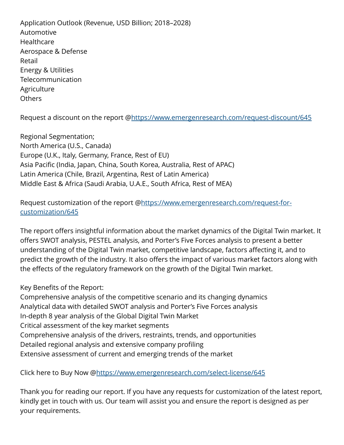Application Outlook (Revenue, USD Billion; 2018–2028) Automotive **Healthcare** Aerospace & Defense Retail Energy & Utilities Telecommunication **Agriculture Others** 

Request a discount on the report @<https://www.emergenresearch.com/request-discount/645>

Regional Segmentation; North America (U.S., Canada) Europe (U.K., Italy, Germany, France, Rest of EU) Asia Pacific (India, Japan, China, South Korea, Australia, Rest of APAC) Latin America (Chile, Brazil, Argentina, Rest of Latin America) Middle East & Africa (Saudi Arabia, U.A.E., South Africa, Rest of MEA)

Request customization of the report [@https://www.emergenresearch.com/request-for](https://www.emergenresearch.com/request-for-customization/645)[customization/645](https://www.emergenresearch.com/request-for-customization/645)

The report offers insightful information about the market dynamics of the Digital Twin market. It offers SWOT analysis, PESTEL analysis, and Porter's Five Forces analysis to present a better understanding of the Digital Twin market, competitive landscape, factors affecting it, and to predict the growth of the industry. It also offers the impact of various market factors along with the effects of the regulatory framework on the growth of the Digital Twin market.

## Key Benefits of the Report:

Comprehensive analysis of the competitive scenario and its changing dynamics Analytical data with detailed SWOT analysis and Porter's Five Forces analysis In-depth 8 year analysis of the Global Digital Twin Market Critical assessment of the key market segments Comprehensive analysis of the drivers, restraints, trends, and opportunities Detailed regional analysis and extensive company profiling Extensive assessment of current and emerging trends of the market

Click here to Buy Now [@https://www.emergenresearch.com/select-license/645](https://www.emergenresearch.com/select-license/645)

Thank you for reading our report. If you have any requests for customization of the latest report, kindly get in touch with us. Our team will assist you and ensure the report is designed as per your requirements.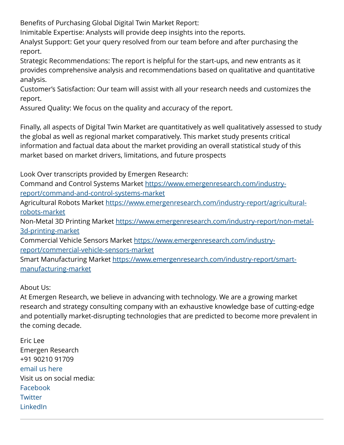Benefits of Purchasing Global Digital Twin Market Report:

Inimitable Expertise: Analysts will provide deep insights into the reports.

Analyst Support: Get your query resolved from our team before and after purchasing the report.

Strategic Recommendations: The report is helpful for the start-ups, and new entrants as it provides comprehensive analysis and recommendations based on qualitative and quantitative analysis.

Customer's Satisfaction: Our team will assist with all your research needs and customizes the report.

Assured Quality: We focus on the quality and accuracy of the report.

Finally, all aspects of Digital Twin Market are quantitatively as well qualitatively assessed to study the global as well as regional market comparatively. This market study presents critical information and factual data about the market providing an overall statistical study of this market based on market drivers, limitations, and future prospects

Look Over transcripts provided by Emergen Research:

Command and Control Systems Market [https://www.emergenresearch.com/industry](https://www.emergenresearch.com/industry-report/command-and-control-systems-market)[report/command-and-control-systems-market](https://www.emergenresearch.com/industry-report/command-and-control-systems-market)

Agricultural Robots Market [https://www.emergenresearch.com/industry-report/agricultural](https://www.emergenresearch.com/industry-report/agricultural-robots-market)[robots-market](https://www.emergenresearch.com/industry-report/agricultural-robots-market)

Non-Metal 3D Printing Market [https://www.emergenresearch.com/industry-report/non-metal-](https://www.emergenresearch.com/industry-report/non-metal-3d-printing-market)[3d-printing-market](https://www.emergenresearch.com/industry-report/non-metal-3d-printing-market)

Commercial Vehicle Sensors Market [https://www.emergenresearch.com/industry](https://www.emergenresearch.com/industry-report/commercial-vehicle-sensors-market)[report/commercial-vehicle-sensors-market](https://www.emergenresearch.com/industry-report/commercial-vehicle-sensors-market)

Smart Manufacturing Market [https://www.emergenresearch.com/industry-report/smart](https://www.emergenresearch.com/industry-report/smart-manufacturing-market)[manufacturing-market](https://www.emergenresearch.com/industry-report/smart-manufacturing-market)

## About Us:

At Emergen Research, we believe in advancing with technology. We are a growing market research and strategy consulting company with an exhaustive knowledge base of cutting-edge and potentially market-disrupting technologies that are predicted to become more prevalent in the coming decade.

Eric Lee Emergen Research +91 90210 91709 [email us here](http://www.einpresswire.com/contact_author/3481324) Visit us on social media: [Facebook](https://www.facebook.com/emergenresearch) **[Twitter](https://twitter.com/emergenresearch)** [LinkedIn](https://www.linkedin.com/company/emergen-research)